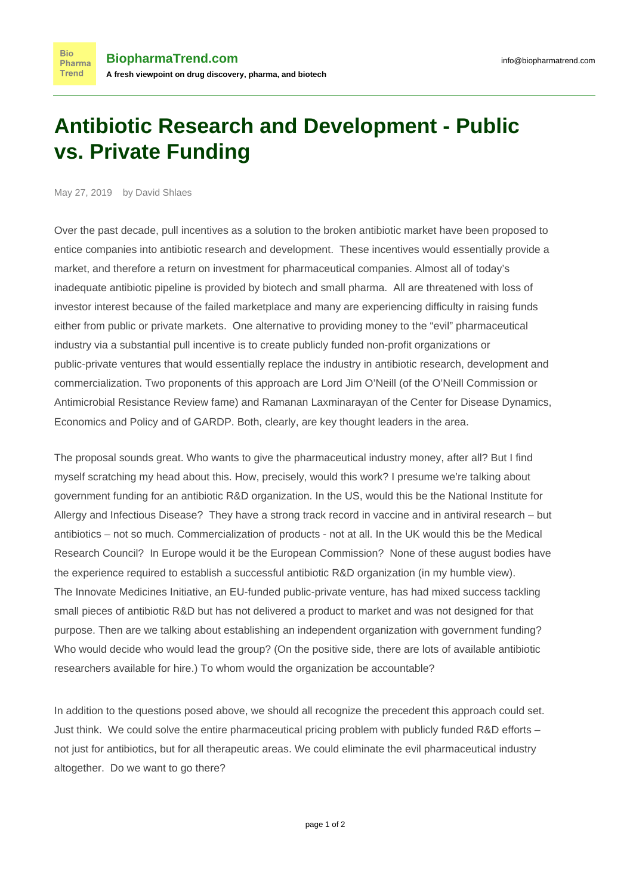## **Antibiotic Research and Development - Public vs. Private Funding**

May 27, 2019 by David Shlaes

**Bio** Pharma Trend

Over the past decade, pull incentives as a solution to the broken antibiotic market have been proposed to entice companies into antibiotic research and development. These incentives would essentially provide a market, and therefore a return on investment for pharmaceutical companies. Almost all of today's inadequate antibiotic pipeline is provided by biotech and small pharma. All are threatened with loss of investor interest because of the failed marketplace and many are experiencing difficulty in raising funds either from public or private markets. One alternative to providing money to the "evil" pharmaceutical industry via a substantial pull incentive is to create publicly funded non-profit organizations or public-private ventures that would essentially replace the industry in antibiotic research, development and commercialization. Two proponents of this approach are Lord [Jim O'Neill](https://revive.gardp.org/more-than-one-model-to-stimulate-antimicrobial-drug-development/) (of the O'Neill Commission or Antimicrobial Resistance Review fame) and [Ramanan Laxminarayan](https://sciencespeaksblog.org/2019/05/22/world-health-assembly-2019-as-antibiotic-pipeline-dimishes-time-runs-out-for-patients/) of the Center for Disease Dynamics, Economics and Policy and of GARDP. Both, clearly, are key thought leaders in the area.

The proposal sounds great. Who wants to give the pharmaceutical industry money, after all? But I find myself scratching my head about this. How, precisely, would this work? I presume we're talking about government funding for an antibiotic R&D organization. In the US, would this be the National Institute for Allergy and Infectious Disease? They have a strong track record in vaccine and in antiviral research – but antibiotics – not so much. Commercialization of products - not at all. In the UK would this be the Medical Research Council? In Europe would it be the European Commission? None of these august bodies have the experience required to establish a successful antibiotic R&D organization (in my humble view). The [Innovate Medicines Initiative,](https://www.imi.europa.eu/) an EU-funded public-private venture, has had mixed success tackling small pieces of antibiotic R&D but has not delivered a product to market and was not designed for that purpose. Then are we talking about establishing an independent organization with government funding? Who would decide who would lead the group? (On the positive side, there are lots of available antibiotic researchers available for hire.) To whom would the organization be accountable?

In addition to the questions posed above, we should all recognize the precedent this approach could set. Just think. We could solve the entire pharmaceutical pricing problem with publicly funded R&D efforts – not just for antibiotics, but for all therapeutic areas. We could eliminate the evil pharmaceutical industry altogether. Do we want to go there?